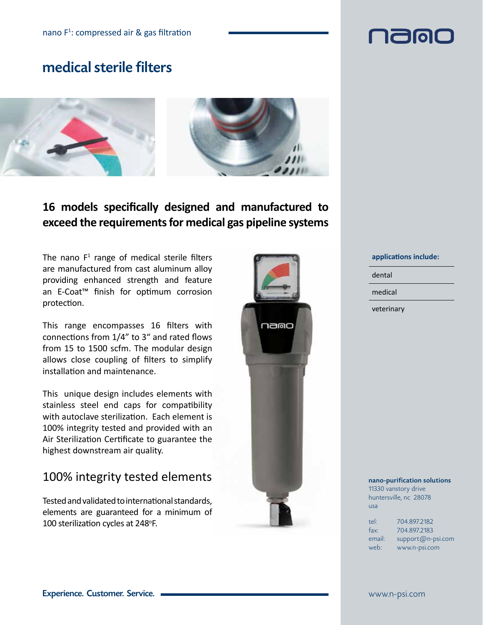### medical sterile filters



### **16 models specifically designed and manufactured to exceed the requirements for medical gas pipeline systems**

The nano  $F<sup>1</sup>$  range of medical sterile filters are manufactured from cast aluminum alloy providing enhanced strength and feature an E-Coat™ finish for optimum corrosion protection.

This range encompasses 16 filters with connections from 1/4" to 3" and rated flows from 15 to 1500 scfm. The modular design allows close coupling of filters to simplify installation and maintenance.

This unique design includes elements with stainless steel end caps for compatibility with autoclave sterilization. Each element is 100% integrity tested and provided with an Air Sterilization Certificate to guarantee the highest downstream air quality.

### 100% integrity tested elements

Tested and validated to international standards, elements are guaranteed for a minimum of 100 sterilization cycles at 248°F.



#### **applications include:**

dental

medical

veterinary

#### nano-purification solutions 11330 vanstory drive

huntersville, nc 28078 usa

| tel:   | 704.897.2182        |
|--------|---------------------|
| fax:   | 704.897.2183        |
| email: | $support@n-psi.com$ |
| web:   | www.n-psi.com       |

# **Malala**